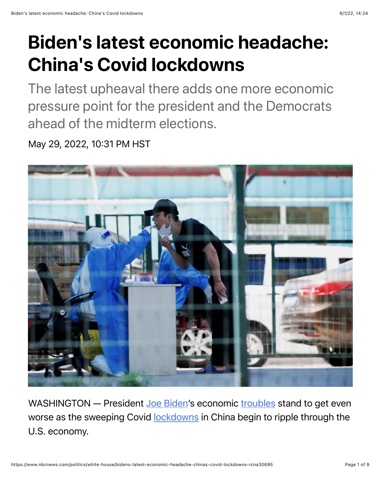## Biden's latest economic headache: China's Covid lockdowns

The latest upheaval there adds one more economic pressure point for the president and the Democrats ahead of the midterm elections.

May 29, 2022, 10:31 PM HST



WASHINGTON – President [Joe Biden](https://www.nbcnews.com/politics/white-house)'s economic [troubles](https://www.nbcnews.com/politics/meet-the-press/bidens-job-approval-falls-lowest-level-presidency-war-inflation-fears-rcna21679) stand to get even worse as the sweeping Covid **lockdowns** in China begin to ripple through the U.S. economy.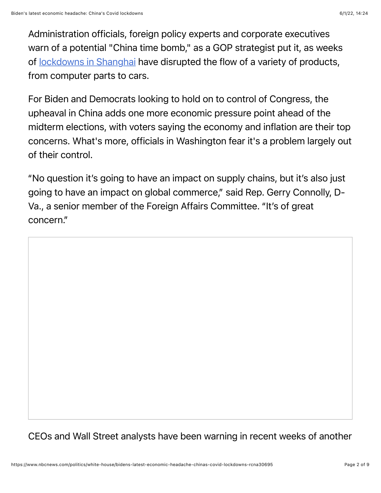Administration officials, foreign policy experts and corporate executives warn of a potential "China time bomb," as a GOP strategist put it, as weeks of [lockdowns in Shanghai](https://www.nbcnews.com/news/world/shanghai-covid-lockdown-end-anger-china-xi-economy-protests-rcna30813) have disrupted the flow of a variety of products, from computer parts to cars.

For Biden and Democrats looking to hold on to control of Congress, the upheaval in China adds one more economic pressure point ahead of the midterm elections, with voters saying the economy and inflation are their top concerns. What's more, officials in Washington fear it's a problem largely out of their control.

"No question it's going to have an impact on supply chains, but it's also just going to have an impact on global commerce," said Rep. Gerry Connolly, D-Va., a senior member of the Foreign Affairs Committee. "It's of great concern."



CEOs and Wall Street analysts have been warning in recent weeks of another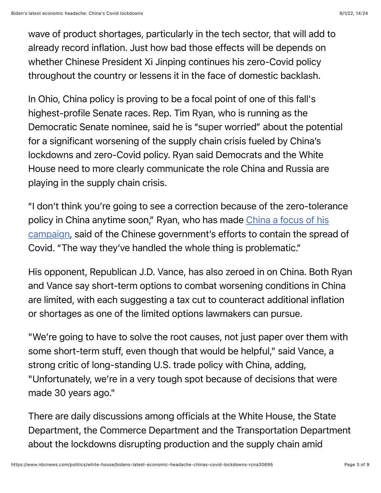wave of product shortages, particularly in the tech sector, that will add to already record inflation. Just how bad those effects will be depends on whether Chinese President Xi Jinping continues his zero-Covid policy throughout the country or lessens it in the face of domestic backlash.

In Ohio, China policy is proving to be a focal point of one of this fall's highest-profile Senate races. Rep. Tim Ryan, who is running as the Democratic Senate nominee, said he is "super worried" about the potential for a significant worsening of the supply chain crisis fueled by China's lockdowns and zero-Covid policy. Ryan said Democrats and the White House need to more clearly communicate the role China and Russia are playing in the supply chain crisis.

"I don't think you're going to see a correction because of the zero-tolerance [policy in China anytime soon," Ryan, who has made China a focus of his](https://timforoh.com/tim-ryan-launches-new-tv-ad-americans/) campaign, said of the Chinese government's efforts to contain the spread of Covid. "The way they've handled the whole thing is problematic."

His opponent, Republican J.D. Vance, has also zeroed in on China. Both Ryan and Vance say short-term options to combat worsening conditions in China are limited, with each suggesting a tax cut to counteract additional inflation or shortages as one of the limited options lawmakers can pursue.

"We're going to have to solve the root causes, not just paper over them with some short-term stuff, even though that would be helpful," said Vance, a strong critic of long-standing U.S. trade policy with China, adding, "Unfortunately, we're in a very tough spot because of decisions that were made 30 years ago."

There are daily discussions among officials at the White House, the State Department, the Commerce Department and the Transportation Department about the lockdowns disrupting production and the supply chain amid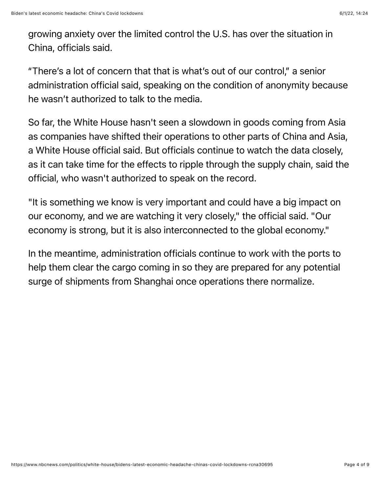growing anxiety over the limited control the U.S. has over the situation in China, officials said.

"There's a lot of concern that that is what's out of our control," a senior administration official said, speaking on the condition of anonymity because he wasn't authorized to talk to the media.

So far, the White House hasn't seen a slowdown in goods coming from Asia as companies have shifted their operations to other parts of China and Asia, a White House official said. But officials continue to watch the data closely, as it can take time for the effects to ripple through the supply chain, said the official, who wasn't authorized to speak on the record.

"It is something we know is very important and could have a big impact on our economy, and we are watching it very closely," the official said. "Our economy is strong, but it is also interconnected to the global economy."

In the meantime, administration officials continue to work with the ports to help them clear the cargo coming in so they are prepared for any potential surge of shipments from Shanghai once operations there normalize.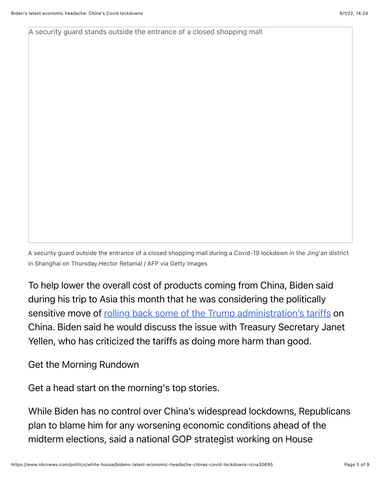A security guard stands outside the entrance of a closed shopping mall

A security guard outside the entrance of a closed shopping mall during a Covid-19 lockdown in the Jing'an district in Shanghai on Thursday.Hector Retamal / AFP via Getty Images

To help lower the overall cost of products coming from China, Biden said during his trip to Asia this month that he was considering the politically sensitive move of [rolling back some of the Trump administration's tariffs](https://www.nbcnews.com/news/world/biden-taiwan-china-invade-military-intervention-rcna30033) on China. Biden said he would discuss the issue with Treasury Secretary Janet Yellen, who has criticized the tariffs as doing more harm than good.

Get the Morning Rundown

Get a head start on the morning's top stories.

While Biden has no control over China's widespread lockdowns, Republicans plan to blame him for any worsening economic conditions ahead of the midterm elections, said a national GOP strategist working on House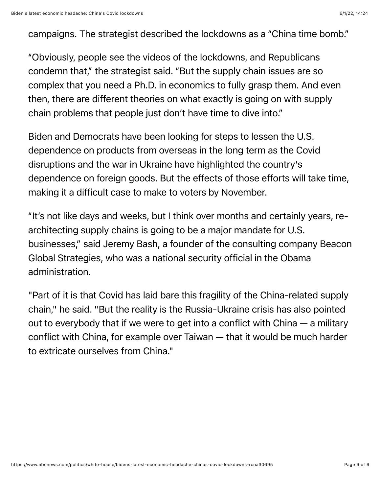campaigns. The strategist described the lockdowns as a "China time bomb."

"Obviously, people see the videos of the lockdowns, and Republicans condemn that," the strategist said. "But the supply chain issues are so complex that you need a Ph.D. in economics to fully grasp them. And even then, there are different theories on what exactly is going on with supply chain problems that people just don't have time to dive into."

Biden and Democrats have been looking for steps to lessen the U.S. dependence on products from overseas in the long term as the Covid disruptions and the war in Ukraine have highlighted the country's dependence on foreign goods. But the effects of those efforts will take time, making it a difficult case to make to voters by November.

"It's not like days and weeks, but I think over months and certainly years, rearchitecting supply chains is going to be a major mandate for U.S. businesses," said Jeremy Bash, a founder of the consulting company Beacon Global Strategies, who was a national security official in the Obama administration.

"Part of it is that Covid has laid bare this fragility of the China-related supply chain," he said. "But the reality is the Russia-Ukraine crisis has also pointed out to everybody that if we were to get into a conflict with China — a military conflict with China, for example over Taiwan — that it would be much harder to extricate ourselves from China."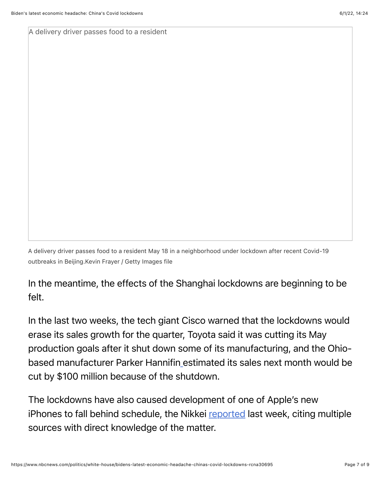A delivery driver passes food to a resident May 18 in a neighborhood under lockdown after recent Covid-19 outbreaks in Beijing.Kevin Frayer / Getty Images file

In the meantime, the effects of the Shanghai lockdowns are beginning to be felt.

In the last two weeks, the tech giant Cisco warned that the lockdowns would erase its sales growth for the quarter, Toyota said it was cutting its May production goals after it shut down some of its manufacturing, and the Ohiobased manufacturer Parker Hannifi[n](https://www.bloomberg.com/quote/PH:US) estimated its sales next month would be cut by \$100 million because of the shutdown.

The lockdowns have also caused development of one of Apple's new iPhones to fall behind schedule, the Nikkei [reported](https://asia.nikkei.com/Spotlight/Supply-Chain/Apple-s-iPhone-development-schedule-hit-by-China-lockdowns) last week, citing multiple sources with direct knowledge of the matter.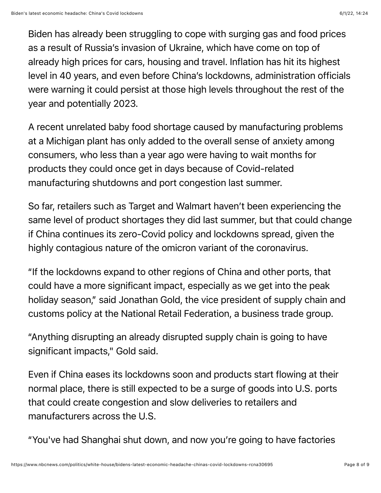Biden has already been struggling to cope with surging gas and food prices as a result of Russia's invasion of Ukraine, which have come on top of already high prices for cars, housing and travel. Inflation has hit its highest level in 40 years, and even before China's lockdowns, administration officials were warning it could persist at those high levels throughout the rest of the year and potentially 2023.

A recent unrelated baby food shortage caused by manufacturing problems at a Michigan plant has only added to the overall sense of anxiety among consumers, who less than a year ago were having to wait months for products they could once get in days because of Covid-related manufacturing shutdowns and port congestion last summer.

So far, retailers such as Target and Walmart haven't been experiencing the same level of product shortages they did last summer, but that could change if China continues its zero-Covid policy and lockdowns spread, given the highly contagious nature of the omicron variant of the coronavirus.

"If the lockdowns expand to other regions of China and other ports, that could have a more significant impact, especially as we get into the peak holiday season," said Jonathan Gold, the vice president of supply chain and customs policy at the National Retail Federation, a business trade group.

"Anything disrupting an already disrupted supply chain is going to have significant impacts," Gold said.

Even if China eases its lockdowns soon and products start flowing at their normal place, there is still expected to be a surge of goods into U.S. ports that could create congestion and slow deliveries to retailers and manufacturers across the U.S.

"You've had Shanghai shut down, and now you're going to have factories